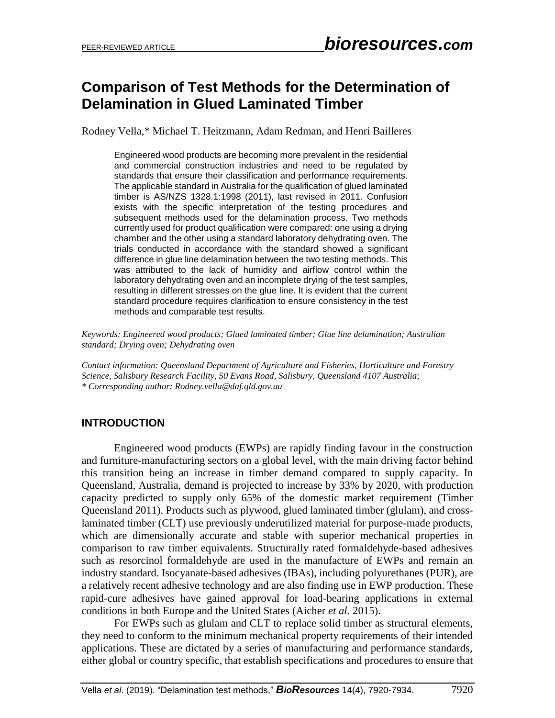## **Comparison of Test Methods for the Determination of Delamination in Glued Laminated Timber**

Rodney Vella,\* Michael T. Heitzmann, Adam Redman, and Henri Bailleres

Engineered wood products are becoming more prevalent in the residential and commercial construction industries and need to be regulated by standards that ensure their classification and performance requirements. The applicable standard in Australia for the qualification of glued laminated timber is AS/NZS 1328.1:1998 (2011), last revised in 2011. Confusion exists with the specific interpretation of the testing procedures and subsequent methods used for the delamination process. Two methods currently used for product qualification were compared: one using a drying chamber and the other using a standard laboratory dehydrating oven. The trials conducted in accordance with the standard showed a significant difference in glue line delamination between the two testing methods. This was attributed to the lack of humidity and airflow control within the laboratory dehydrating oven and an incomplete drying of the test samples, resulting in different stresses on the glue line. It is evident that the current standard procedure requires clarification to ensure consistency in the test methods and comparable test results.

*Keywords: Engineered wood products; Glued laminated timber; Glue line delamination; Australian standard; Drying oven; Dehydrating oven*

*Contact information: Queensland Department of Agriculture and Fisheries, Horticulture and Forestry Science, Salisbury Research Facility, 50 Evans Road, Salisbury, Queensland 4107 Australia; \* Corresponding author: Rodney.vella@daf.qld.gov.au*

## **INTRODUCTION**

Engineered wood products (EWPs) are rapidly finding favour in the construction and furniture-manufacturing sectors on a global level, with the main driving factor behind this transition being an increase in timber demand compared to supply capacity. In Queensland, Australia, demand is projected to increase by 33% by 2020, with production capacity predicted to supply only 65% of the domestic market requirement (Timber Queensland 2011). Products such as plywood, glued laminated timber (glulam), and crosslaminated timber (CLT) use previously underutilized material for purpose-made products, which are dimensionally accurate and stable with superior mechanical properties in comparison to raw timber equivalents. Structurally rated formaldehyde-based adhesives such as resorcinol formaldehyde are used in the manufacture of EWPs and remain an industry standard. Isocyanate-based adhesives (IBAs), including polyurethanes (PUR), are a relatively recent adhesive technology and are also finding use in EWP production. These rapid-cure adhesives have gained approval for load-bearing applications in external conditions in both Europe and the United States (Aicher *et al*. 2015).

For EWPs such as glulam and CLT to replace solid timber as structural elements, they need to conform to the minimum mechanical property requirements of their intended applications. These are dictated by a series of manufacturing and performance standards, either global or country specific, that establish specifications and procedures to ensure that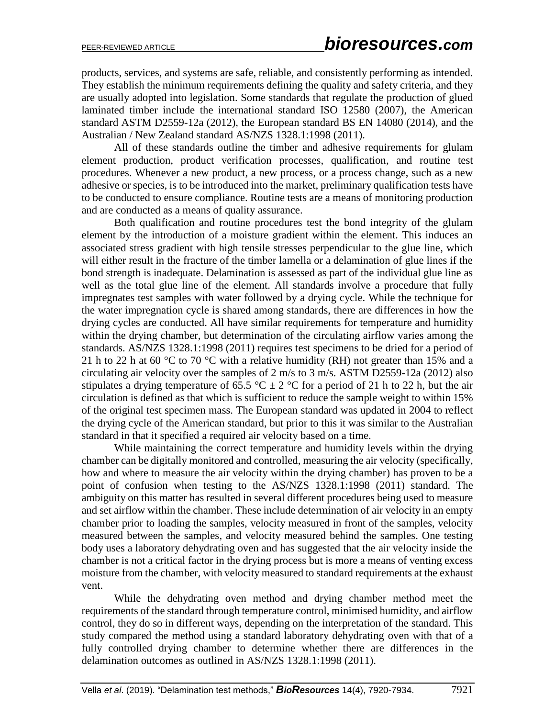products, services, and systems are safe, reliable, and consistently performing as intended. They establish the minimum requirements defining the quality and safety criteria, and they are usually adopted into legislation. Some standards that regulate the production of glued laminated timber include the international standard ISO 12580 (2007), the American standard ASTM D2559-12a (2012), the European standard BS EN 14080 (2014), and the Australian / New Zealand standard AS/NZS 1328.1:1998 (2011).

All of these standards outline the timber and adhesive requirements for glulam element production, product verification processes, qualification, and routine test procedures. Whenever a new product, a new process, or a process change, such as a new adhesive or species, is to be introduced into the market, preliminary qualification tests have to be conducted to ensure compliance. Routine tests are a means of monitoring production and are conducted as a means of quality assurance.

Both qualification and routine procedures test the bond integrity of the glulam element by the introduction of a moisture gradient within the element. This induces an associated stress gradient with high tensile stresses perpendicular to the glue line, which will either result in the fracture of the timber lamella or a delamination of glue lines if the bond strength is inadequate. Delamination is assessed as part of the individual glue line as well as the total glue line of the element. All standards involve a procedure that fully impregnates test samples with water followed by a drying cycle. While the technique for the water impregnation cycle is shared among standards, there are differences in how the drying cycles are conducted. All have similar requirements for temperature and humidity within the drying chamber, but determination of the circulating airflow varies among the standards. AS/NZS 1328.1:1998 (2011) requires test specimens to be dried for a period of 21 h to 22 h at 60 °C to 70 °C with a relative humidity (RH) not greater than 15% and a circulating air velocity over the samples of 2 m/s to 3 m/s. ASTM D2559-12a (2012) also stipulates a drying temperature of 65.5 °C  $\pm$  2 °C for a period of 21 h to 22 h, but the air circulation is defined as that which is sufficient to reduce the sample weight to within 15% of the original test specimen mass. The European standard was updated in 2004 to reflect the drying cycle of the American standard, but prior to this it was similar to the Australian standard in that it specified a required air velocity based on a time.

While maintaining the correct temperature and humidity levels within the drying chamber can be digitally monitored and controlled, measuring the air velocity (specifically, how and where to measure the air velocity within the drying chamber) has proven to be a point of confusion when testing to the AS/NZS 1328.1:1998 (2011) standard. The ambiguity on this matter has resulted in several different procedures being used to measure and set airflow within the chamber. These include determination of air velocity in an empty chamber prior to loading the samples, velocity measured in front of the samples, velocity measured between the samples, and velocity measured behind the samples. One testing body uses a laboratory dehydrating oven and has suggested that the air velocity inside the chamber is not a critical factor in the drying process but is more a means of venting excess moisture from the chamber, with velocity measured to standard requirements at the exhaust vent.

While the dehydrating oven method and drying chamber method meet the requirements of the standard through temperature control, minimised humidity, and airflow control, they do so in different ways, depending on the interpretation of the standard. This study compared the method using a standard laboratory dehydrating oven with that of a fully controlled drying chamber to determine whether there are differences in the delamination outcomes as outlined in AS/NZS 1328.1:1998 (2011).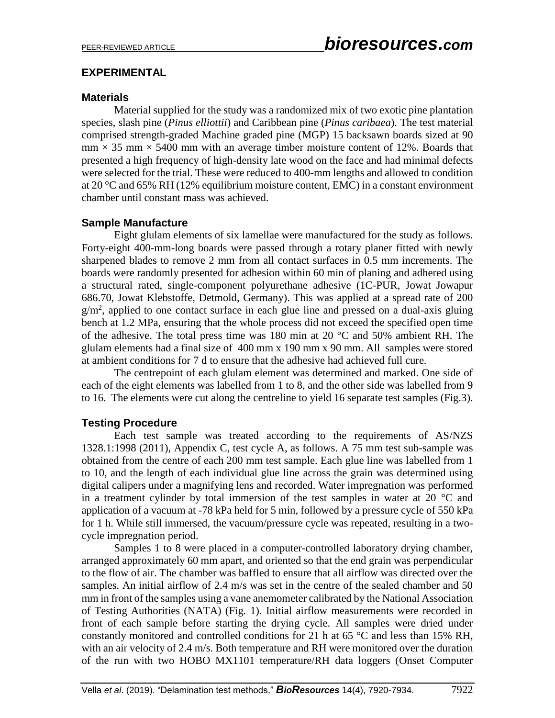#### **EXPERIMENTAL**

### **Materials**

Material supplied for the study was a randomized mix of two exotic pine plantation species, slash pine (*Pinus elliottii*) and Caribbean pine (*Pinus caribaea*). The test material comprised strength-graded Machine graded pine (MGP) 15 backsawn boards sized at 90  $mm \times 35 mm \times 5400 mm$  with an average timber moisture content of 12%. Boards that presented a high frequency of high-density late wood on the face and had minimal defects were selected for the trial. These were reduced to 400-mm lengths and allowed to condition at 20 °C and 65% RH (12% equilibrium moisture content, EMC) in a constant environment chamber until constant mass was achieved.

## **Sample Manufacture**

Eight glulam elements of six lamellae were manufactured for the study as follows. Forty-eight 400-mm-long boards were passed through a rotary planer fitted with newly sharpened blades to remove 2 mm from all contact surfaces in 0.5 mm increments. The boards were randomly presented for adhesion within 60 min of planing and adhered using a structural rated, single-component polyurethane adhesive (1C-PUR, Jowat Jowapur 686.70, Jowat Klebstoffe, Detmold, Germany). This was applied at a spread rate of 200 g/m<sup>2</sup>, applied to one contact surface in each glue line and pressed on a dual-axis gluing bench at 1.2 MPa, ensuring that the whole process did not exceed the specified open time of the adhesive. The total press time was 180 min at 20 °C and 50% ambient RH. The glulam elements had a final size of 400 mm x 190 mm x 90 mm. All samples were stored at ambient conditions for 7 d to ensure that the adhesive had achieved full cure.

The centrepoint of each glulam element was determined and marked. One side of each of the eight elements was labelled from 1 to 8, and the other side was labelled from 9 to 16. The elements were cut along the centreline to yield 16 separate test samples (Fig.3).

## **Testing Procedure**

Each test sample was treated according to the requirements of AS/NZS 1328.1:1998 (2011), Appendix C, test cycle A, as follows. A 75 mm test sub-sample was obtained from the centre of each 200 mm test sample. Each glue line was labelled from 1 to 10, and the length of each individual glue line across the grain was determined using digital calipers under a magnifying lens and recorded. Water impregnation was performed in a treatment cylinder by total immersion of the test samples in water at 20  $^{\circ}$ C and application of a vacuum at -78 kPa held for 5 min, followed by a pressure cycle of 550 kPa for 1 h. While still immersed, the vacuum/pressure cycle was repeated, resulting in a twocycle impregnation period.

Samples 1 to 8 were placed in a computer-controlled laboratory drying chamber, arranged approximately 60 mm apart, and oriented so that the end grain was perpendicular to the flow of air. The chamber was baffled to ensure that all airflow was directed over the samples. An initial airflow of 2.4 m/s was set in the centre of the sealed chamber and 50 mm in front of the samples using a vane anemometer calibrated by the National Association of Testing Authorities (NATA) (Fig. 1). Initial airflow measurements were recorded in front of each sample before starting the drying cycle. All samples were dried under constantly monitored and controlled conditions for 21 h at 65 °C and less than 15% RH, with an air velocity of 2.4 m/s. Both temperature and RH were monitored over the duration of the run with two HOBO MX1101 temperature/RH data loggers (Onset Computer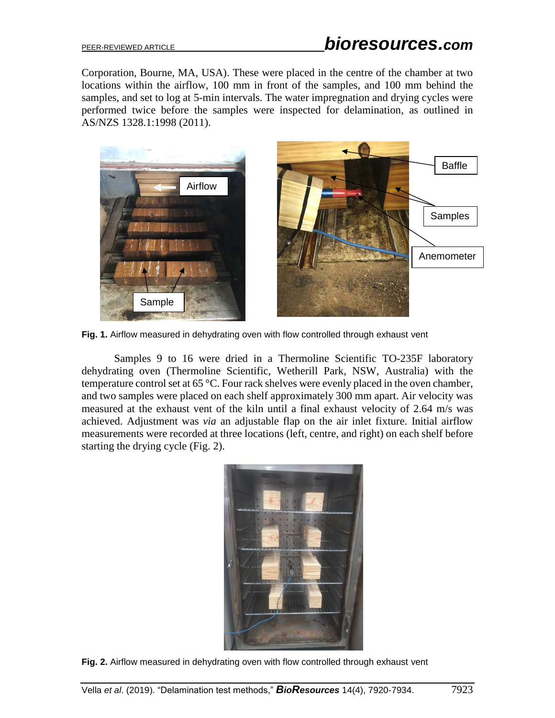Corporation, Bourne, MA, USA). These were placed in the centre of the chamber at two locations within the airflow, 100 mm in front of the samples, and 100 mm behind the samples, and set to log at 5-min intervals. The water impregnation and drying cycles were performed twice before the samples were inspected for delamination, as outlined in AS/NZS 1328.1:1998 (2011).



**Fig. 1.** Airflow measured in dehydrating oven with flow controlled through exhaust vent

Samples 9 to 16 were dried in a Thermoline Scientific TO-235F laboratory dehydrating oven (Thermoline Scientific, Wetherill Park, NSW, Australia) with the temperature control set at 65 °C. Four rack shelves were evenly placed in the oven chamber, and two samples were placed on each shelf approximately 300 mm apart. Air velocity was measured at the exhaust vent of the kiln until a final exhaust velocity of 2.64 m/s was achieved. Adjustment was *via* an adjustable flap on the air inlet fixture. Initial airflow measurements were recorded at three locations (left, centre, and right) on each shelf before starting the drying cycle (Fig. 2).



**Fig. 2.** Airflow measured in dehydrating oven with flow controlled through exhaust vent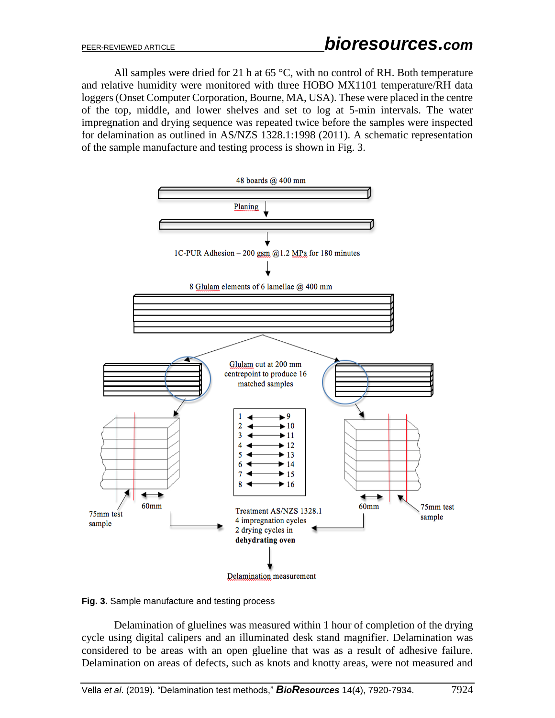All samples were dried for 21 h at 65  $^{\circ}$ C, with no control of RH. Both temperature and relative humidity were monitored with three HOBO MX1101 temperature/RH data loggers (Onset Computer Corporation, Bourne, MA, USA). These were placed in the centre of the top, middle, and lower shelves and set to log at 5-min intervals. The water impregnation and drying sequence was repeated twice before the samples were inspected for delamination as outlined in AS/NZS 1328.1:1998 (2011). A schematic representation of the sample manufacture and testing process is shown in Fig. 3.



**Fig. 3.** Sample manufacture and testing process

Delamination of gluelines was measured within 1 hour of completion of the drying cycle using digital calipers and an illuminated desk stand magnifier. Delamination was considered to be areas with an open glueline that was as a result of adhesive failure. Delamination on areas of defects, such as knots and knotty areas, were not measured and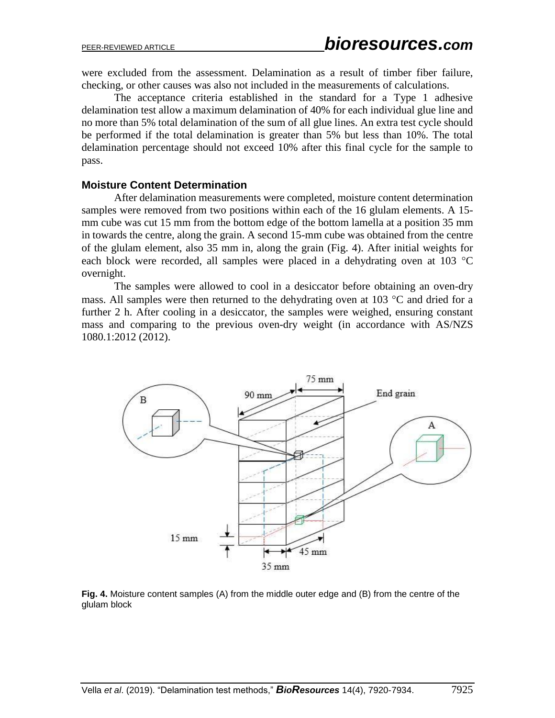were excluded from the assessment. Delamination as a result of timber fiber failure, checking, or other causes was also not included in the measurements of calculations.

The acceptance criteria established in the standard for a Type 1 adhesive delamination test allow a maximum delamination of 40% for each individual glue line and no more than 5% total delamination of the sum of all glue lines. An extra test cycle should be performed if the total delamination is greater than 5% but less than 10%. The total delamination percentage should not exceed 10% after this final cycle for the sample to pass.

#### **Moisture Content Determination**

After delamination measurements were completed, moisture content determination samples were removed from two positions within each of the 16 glulam elements. A 15 mm cube was cut 15 mm from the bottom edge of the bottom lamella at a position 35 mm in towards the centre, along the grain. A second 15-mm cube was obtained from the centre of the glulam element, also 35 mm in, along the grain (Fig. 4). After initial weights for each block were recorded, all samples were placed in a dehydrating oven at 103  $^{\circ}$ C overnight.

The samples were allowed to cool in a desiccator before obtaining an oven-dry mass. All samples were then returned to the dehydrating oven at 103  $^{\circ}$ C and dried for a further 2 h. After cooling in a desiccator, the samples were weighed, ensuring constant mass and comparing to the previous oven-dry weight (in accordance with AS/NZS 1080.1:2012 (2012).



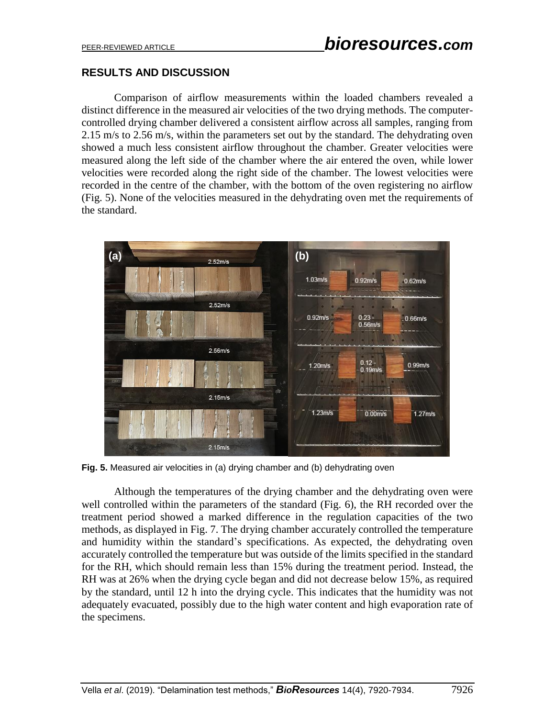## **RESULTS AND DISCUSSION**

Comparison of airflow measurements within the loaded chambers revealed a distinct difference in the measured air velocities of the two drying methods. The computercontrolled drying chamber delivered a consistent airflow across all samples, ranging from 2.15 m/s to 2.56 m/s, within the parameters set out by the standard. The dehydrating oven showed a much less consistent airflow throughout the chamber. Greater velocities were measured along the left side of the chamber where the air entered the oven, while lower velocities were recorded along the right side of the chamber. The lowest velocities were recorded in the centre of the chamber, with the bottom of the oven registering no airflow (Fig. 5). None of the velocities measured in the dehydrating oven met the requirements of the standard.



**Fig. 5.** Measured air velocities in (a) drying chamber and (b) dehydrating oven

Although the temperatures of the drying chamber and the dehydrating oven were well controlled within the parameters of the standard (Fig. 6), the RH recorded over the treatment period showed a marked difference in the regulation capacities of the two methods, as displayed in Fig. 7. The drying chamber accurately controlled the temperature and humidity within the standard's specifications. As expected, the dehydrating oven accurately controlled the temperature but was outside of the limits specified in the standard for the RH, which should remain less than 15% during the treatment period. Instead, the RH was at 26% when the drying cycle began and did not decrease below 15%, as required by the standard, until 12 h into the drying cycle. This indicates that the humidity was not adequately evacuated, possibly due to the high water content and high evaporation rate of the specimens.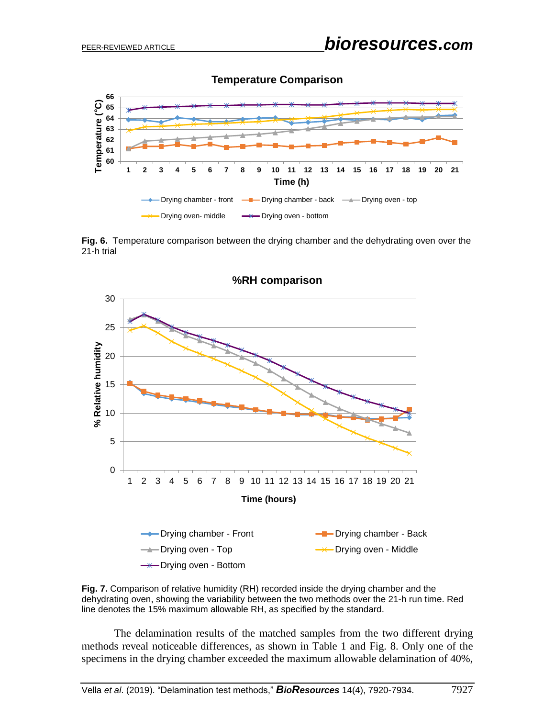

#### **Temperature Comparison**

**Fig. 6.** Temperature comparison between the drying chamber and the dehydrating oven over the 21-h trial





The delamination results of the matched samples from the two different drying methods reveal noticeable differences, as shown in Table 1 and Fig. 8. Only one of the specimens in the drying chamber exceeded the maximum allowable delamination of 40%,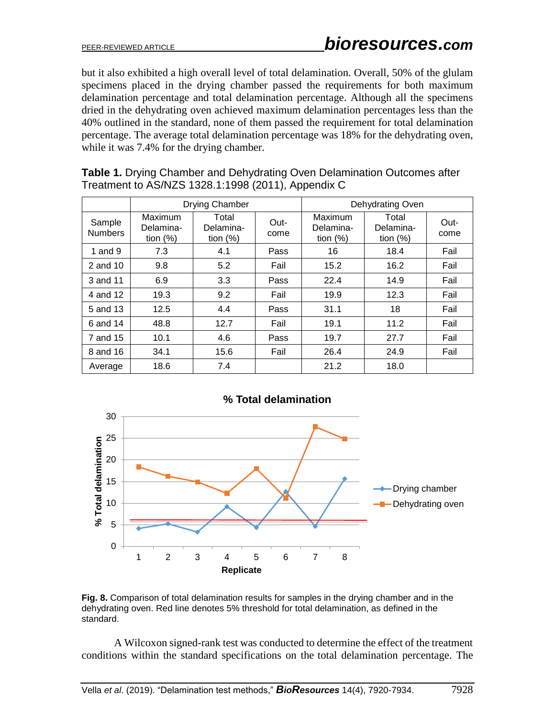but it also exhibited a high overall level of total delamination. Overall, 50% of the glulam specimens placed in the drying chamber passed the requirements for both maximum delamination percentage and total delamination percentage. Although all the specimens dried in the dehydrating oven achieved maximum delamination percentages less than the 40% outlined in the standard, none of them passed the requirement for total delamination percentage. The average total delamination percentage was 18% for the dehydrating oven, while it was 7.4% for the drying chamber.

|                          | <b>Drying Chamber</b>               |                                   |              | Dehydrating Oven                    |                                   |              |
|--------------------------|-------------------------------------|-----------------------------------|--------------|-------------------------------------|-----------------------------------|--------------|
| Sample<br><b>Numbers</b> | Maximum<br>Delamina-<br>tion $(\%)$ | Total<br>Delamina-<br>tion $(\%)$ | Out-<br>come | Maximum<br>Delamina-<br>tion $(\%)$ | Total<br>Delamina-<br>tion $(\%)$ | Out-<br>come |
| 1 and $9$                | 7.3                                 | 4.1                               | Pass         | 16                                  | 18.4                              | Fail         |
| 2 and 10                 | 9.8                                 | 5.2                               | Fail         | 15.2                                | 16.2                              | Fail         |
| 3 and 11                 | 6.9                                 | 3.3                               | Pass         | 22.4                                | 14.9                              | Fail         |
| 4 and 12                 | 19.3                                | 9.2                               | Fail         | 19.9                                | 12.3                              | Fail         |
| 5 and 13                 | 12.5                                | 4.4                               | Pass         | 31.1                                | 18                                | Fail         |
| 6 and 14                 | 48.8                                | 12.7                              | Fail         | 19.1                                | 11.2                              | Fail         |
| 7 and 15                 | 10.1                                | 4.6                               | Pass         | 19.7                                | 27.7                              | Fail         |
| 8 and 16                 | 34.1                                | 15.6                              | Fail         | 26.4                                | 24.9                              | Fail         |
| Average                  | 18.6                                | 7.4                               |              | 21.2                                | 18.0                              |              |

**Table 1.** Drying Chamber and Dehydrating Oven Delamination Outcomes after Treatment to AS/NZS 1328.1:1998 (2011), Appendix C



**Fig. 8.** Comparison of total delamination results for samples in the drying chamber and in the dehydrating oven. Red line denotes 5% threshold for total delamination, as defined in the standard.

A Wilcoxon signed-rank test was conducted to determine the effect of the treatment conditions within the standard specifications on the total delamination percentage. The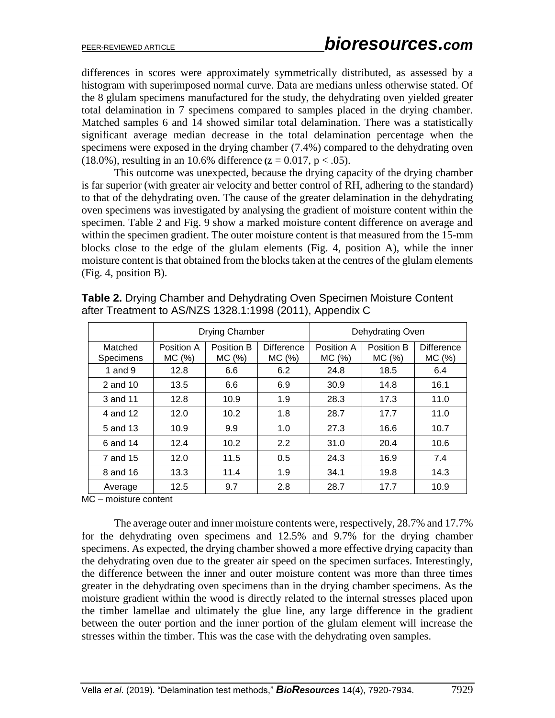differences in scores were approximately symmetrically distributed, as assessed by a histogram with superimposed normal curve. Data are medians unless otherwise stated. Of the 8 glulam specimens manufactured for the study, the dehydrating oven yielded greater total delamination in 7 specimens compared to samples placed in the drying chamber. Matched samples 6 and 14 showed similar total delamination. There was a statistically significant average median decrease in the total delamination percentage when the specimens were exposed in the drying chamber (7.4%) compared to the dehydrating oven (18.0%), resulting in an 10.6% difference  $(z = 0.017, p < .05)$ .

This outcome was unexpected, because the drying capacity of the drying chamber is far superior (with greater air velocity and better control of RH, adhering to the standard) to that of the dehydrating oven. The cause of the greater delamination in the dehydrating oven specimens was investigated by analysing the gradient of moisture content within the specimen. Table 2 and Fig. 9 show a marked moisture content difference on average and within the specimen gradient. The outer moisture content is that measured from the 15-mm blocks close to the edge of the glulam elements (Fig. 4, position A), while the inner moisture content is that obtained from the blocks taken at the centres of the glulam elements (Fig. 4, position B).

|                      | Drying Chamber       |                     |                             | Dehydrating Oven    |                      |                             |
|----------------------|----------------------|---------------------|-----------------------------|---------------------|----------------------|-----------------------------|
| Matched<br>Specimens | Position A<br>MC (%) | Position B<br>MC(%) | <b>Difference</b><br>MC (%) | Position A<br>MC(%) | Position B<br>MC (%) | <b>Difference</b><br>MC (%) |
| 1 and $9$            | 12.8                 | 6.6                 | 6.2                         | 24.8                | 18.5                 | 6.4                         |
| 2 and 10             | 13.5                 | 6.6                 | 6.9                         | 30.9                | 14.8                 | 16.1                        |
| 3 and 11             | 12.8                 | 10.9                | 1.9                         | 28.3                | 17.3                 | 11.0                        |
| 4 and 12             | 12.0                 | 10.2                | 1.8                         | 28.7                | 17.7                 | 11.0                        |
| 5 and 13             | 10.9                 | 9.9                 | 1.0                         | 27.3                | 16.6                 | 10.7                        |
| 6 and 14             | 12.4                 | 10.2                | 2.2                         | 31.0                | 20.4                 | 10.6                        |
| 7 and 15             | 12.0                 | 11.5                | 0.5                         | 24.3                | 16.9                 | 7.4                         |
| 8 and 16             | 13.3                 | 11.4                | 1.9                         | 34.1                | 19.8                 | 14.3                        |
| Average              | 12.5                 | 9.7                 | 2.8                         | 28.7                | 17.7                 | 10.9                        |

**Table 2.** Drying Chamber and Dehydrating Oven Specimen Moisture Content after Treatment to AS/NZS 1328.1:1998 (2011), Appendix C

MC – moisture content

The average outer and inner moisture contents were, respectively, 28.7% and 17.7% for the dehydrating oven specimens and 12.5% and 9.7% for the drying chamber specimens. As expected, the drying chamber showed a more effective drying capacity than the dehydrating oven due to the greater air speed on the specimen surfaces. Interestingly, the difference between the inner and outer moisture content was more than three times greater in the dehydrating oven specimens than in the drying chamber specimens. As the moisture gradient within the wood is directly related to the internal stresses placed upon the timber lamellae and ultimately the glue line, any large difference in the gradient between the outer portion and the inner portion of the glulam element will increase the stresses within the timber. This was the case with the dehydrating oven samples.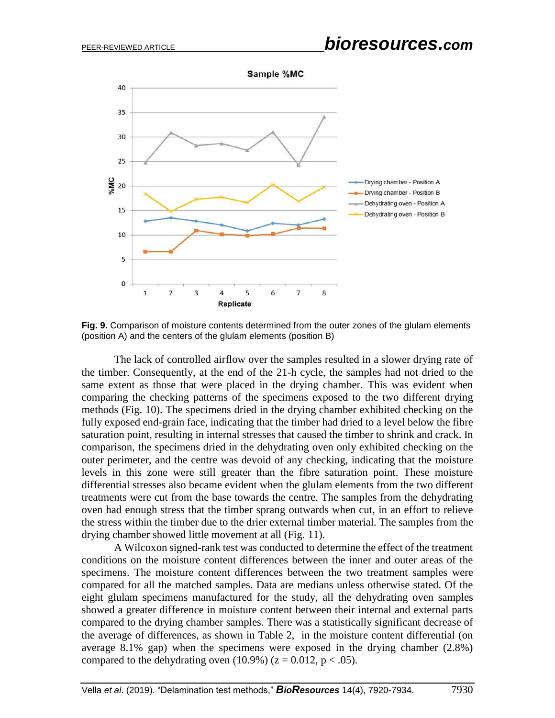

**Fig. 9.** Comparison of moisture contents determined from the outer zones of the glulam elements (position A) and the centers of the glulam elements (position B)

The lack of controlled airflow over the samples resulted in a slower drying rate of the timber. Consequently, at the end of the 21-h cycle, the samples had not dried to the same extent as those that were placed in the drying chamber. This was evident when comparing the checking patterns of the specimens exposed to the two different drying methods (Fig. 10). The specimens dried in the drying chamber exhibited checking on the fully exposed end-grain face, indicating that the timber had dried to a level below the fibre saturation point, resulting in internal stresses that caused the timber to shrink and crack. In comparison, the specimens dried in the dehydrating oven only exhibited checking on the outer perimeter, and the centre was devoid of any checking, indicating that the moisture levels in this zone were still greater than the fibre saturation point. These moisture differential stresses also became evident when the glulam elements from the two different treatments were cut from the base towards the centre. The samples from the dehydrating oven had enough stress that the timber sprang outwards when cut, in an effort to relieve the stress within the timber due to the drier external timber material. The samples from the drying chamber showed little movement at all (Fig. 11).

A Wilcoxon signed-rank test was conducted to determine the effect of the treatment conditions on the moisture content differences between the inner and outer areas of the specimens. The moisture content differences between the two treatment samples were compared for all the matched samples. Data are medians unless otherwise stated. Of the eight glulam specimens manufactured for the study, all the dehydrating oven samples showed a greater difference in moisture content between their internal and external parts compared to the drying chamber samples. There was a statistically significant decrease of the average of differences, as shown in Table 2, in the moisture content differential (on average 8.1% gap) when the specimens were exposed in the drying chamber (2.8%) compared to the dehydrating oven  $(10.9\%)$  ( $z = 0.012$ ,  $p < .05$ ).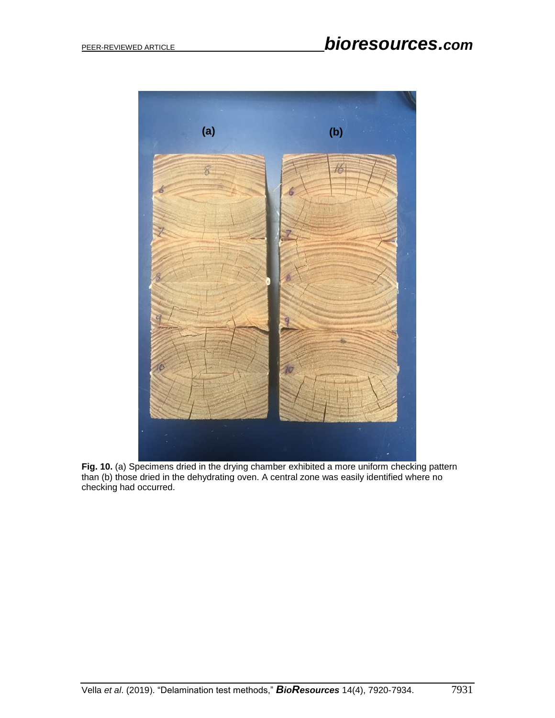

**Fig. 10.** (a) Specimens dried in the drying chamber exhibited a more uniform checking pattern than (b) those dried in the dehydrating oven. A central zone was easily identified where no checking had occurred.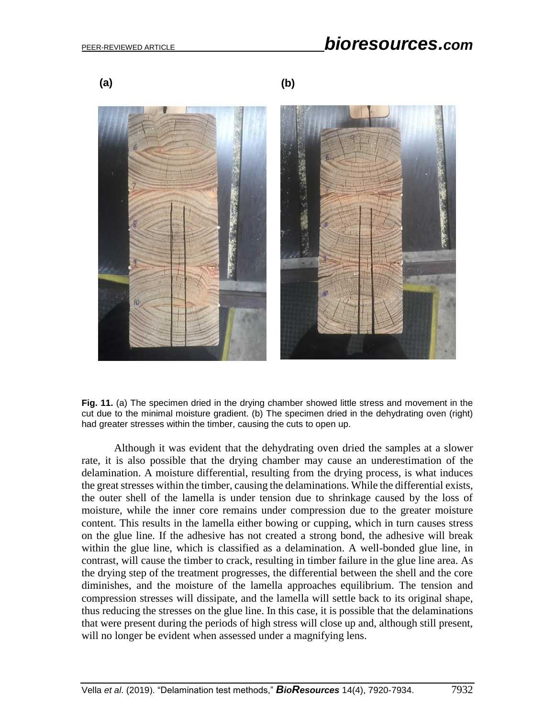# PEER-REVIEWED ARTICLE *bioresources.com*

**(a) (b)**



**Fig. 11.** (a) The specimen dried in the drying chamber showed little stress and movement in the cut due to the minimal moisture gradient. (b) The specimen dried in the dehydrating oven (right) had greater stresses within the timber, causing the cuts to open up.

Although it was evident that the dehydrating oven dried the samples at a slower rate, it is also possible that the drying chamber may cause an underestimation of the delamination. A moisture differential, resulting from the drying process, is what induces the great stresses within the timber, causing the delaminations. While the differential exists, the outer shell of the lamella is under tension due to shrinkage caused by the loss of moisture, while the inner core remains under compression due to the greater moisture content. This results in the lamella either bowing or cupping, which in turn causes stress on the glue line. If the adhesive has not created a strong bond, the adhesive will break within the glue line, which is classified as a delamination. A well-bonded glue line, in contrast, will cause the timber to crack, resulting in timber failure in the glue line area. As the drying step of the treatment progresses, the differential between the shell and the core diminishes, and the moisture of the lamella approaches equilibrium. The tension and compression stresses will dissipate, and the lamella will settle back to its original shape, thus reducing the stresses on the glue line. In this case, it is possible that the delaminations that were present during the periods of high stress will close up and, although still present, will no longer be evident when assessed under a magnifying lens.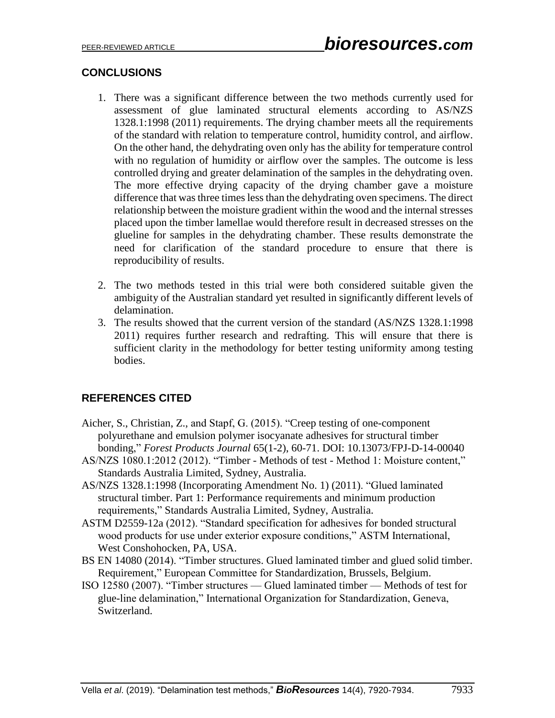## **CONCLUSIONS**

- 1. There was a significant difference between the two methods currently used for assessment of glue laminated structural elements according to AS/NZS 1328.1:1998 (2011) requirements. The drying chamber meets all the requirements of the standard with relation to temperature control, humidity control, and airflow. On the other hand, the dehydrating oven only has the ability for temperature control with no regulation of humidity or airflow over the samples. The outcome is less controlled drying and greater delamination of the samples in the dehydrating oven. The more effective drying capacity of the drying chamber gave a moisture difference that was three times less than the dehydrating oven specimens. The direct relationship between the moisture gradient within the wood and the internal stresses placed upon the timber lamellae would therefore result in decreased stresses on the glueline for samples in the dehydrating chamber. These results demonstrate the need for clarification of the standard procedure to ensure that there is reproducibility of results.
- 2. The two methods tested in this trial were both considered suitable given the ambiguity of the Australian standard yet resulted in significantly different levels of delamination.
- 3. The results showed that the current version of the standard (AS/NZS 1328.1:1998 2011) requires further research and redrafting. This will ensure that there is sufficient clarity in the methodology for better testing uniformity among testing bodies.

## **REFERENCES CITED**

- Aicher, S., Christian, Z., and Stapf, G. (2015). "Creep testing of one-component polyurethane and emulsion polymer isocyanate adhesives for structural timber bonding," *Forest Products Journal* 65(1-2), 60-71. DOI: 10.13073/FPJ-D-14-00040
- AS/NZS 1080.1:2012 (2012). "Timber Methods of test Method 1: Moisture content," Standards Australia Limited, Sydney, Australia.
- AS/NZS 1328.1:1998 (Incorporating Amendment No. 1) (2011). "Glued laminated structural timber. Part 1: Performance requirements and minimum production requirements," Standards Australia Limited, Sydney, Australia.
- ASTM D2559-12a (2012). "Standard specification for adhesives for bonded structural wood products for use under exterior exposure conditions," ASTM International, West Conshohocken, PA, USA.
- BS EN 14080 (2014). "Timber structures. Glued laminated timber and glued solid timber. Requirement," European Committee for Standardization, Brussels, Belgium.
- ISO 12580 (2007). "Timber structures Glued laminated timber Methods of test for glue-line delamination," International Organization for Standardization, Geneva, Switzerland.